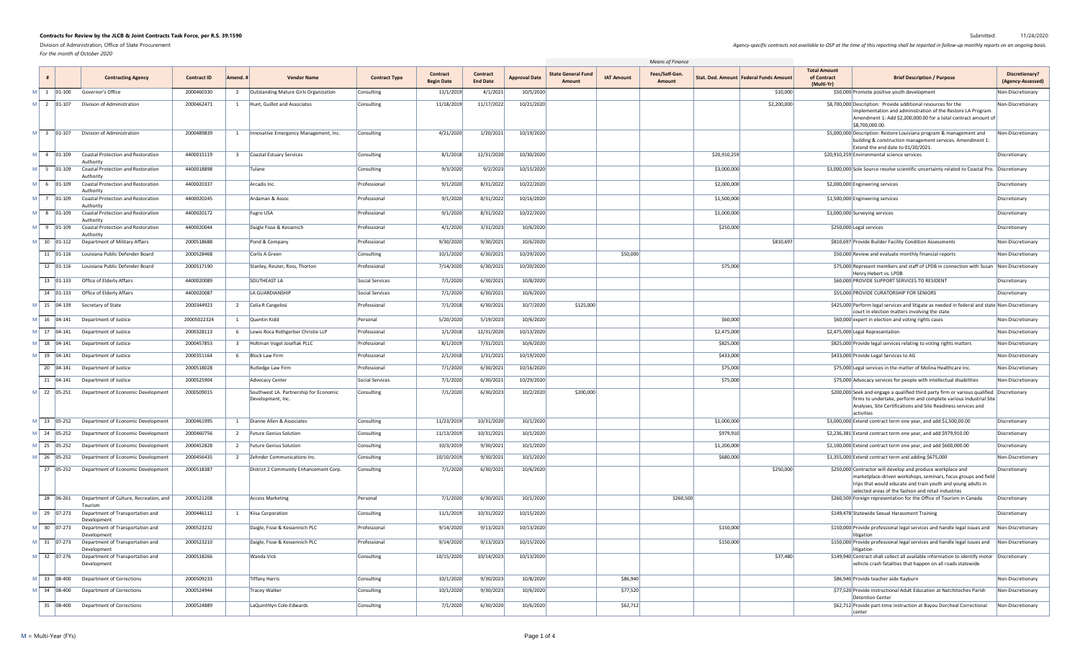*For the month of October 2020*

|                            |                                                                 |                    |              |                                                             |                      |                                      |                                    |                      |                                                          | <b>Means of Finance</b>         |                                          |                                                  |                                                                                                                                                                                                                                                                                       |
|----------------------------|-----------------------------------------------------------------|--------------------|--------------|-------------------------------------------------------------|----------------------|--------------------------------------|------------------------------------|----------------------|----------------------------------------------------------|---------------------------------|------------------------------------------|--------------------------------------------------|---------------------------------------------------------------------------------------------------------------------------------------------------------------------------------------------------------------------------------------------------------------------------------------|
|                            | <b>Contracting Agency</b>                                       | <b>Contract ID</b> | Amend.       | <b>Vendor Name</b>                                          | <b>Contract Type</b> | <b>Contract</b><br><b>Begin Date</b> | <b>Contract</b><br><b>End Date</b> | <b>Approval Date</b> | <b>State General Fund</b><br><b>IAT Amount</b><br>Amount | Fees/Self-Gen.<br><b>Amount</b> | Stat. Ded. Amount   Federal Funds Amount | <b>Total Amount</b><br>of Contract<br>(Multi-Yr) | Discretionary?<br><b>Brief Description / Purpose</b><br>(Agency-Assessed)                                                                                                                                                                                                             |
|                            | $M \begin{bmatrix} 1 \\ 01-100 \end{bmatrix}$ Governor's Office | 2000460330         |              | Outstanding Mature Girls Organization                       | Consulting           | 11/1/2019                            | 4/1/2021                           | 10/5/2020            |                                                          |                                 | \$10,000                                 |                                                  | \$50,000 Promote positive youth development<br>Non-Discretionary                                                                                                                                                                                                                      |
| M 2 01-107                 | Division of Administration                                      | 2000462471         |              | Hunt, Guillot and Associates                                | Consulting           | 11/18/2019                           | 11/17/2022                         | 10/21/2020           |                                                          |                                 | \$2,200,000                              |                                                  | \$8,700,000 Description: Provide additional resources for the<br>Non-Discretionary<br>implementation and administration of the Restore LA Program.<br>Amendment 1: Add \$2,200,000.00 for a total contract amount of<br>\$8,700,000.00.                                               |
| M 3 01-107                 | Division of Administration                                      | 2000489839         |              | Innovative Emergency Management, Inc.                       | Consulting           | 4/21/2020                            | 1/20/2021                          | 10/19/2020           |                                                          |                                 |                                          |                                                  | \$5,000,000 Description: Restore Louisiana program & management and<br>Non-Discretionary<br>building & construction management services. Amendment 1:<br>Extend the end date to 01/20/2021.                                                                                           |
| M 4 01-109                 | <b>Coastal Protection and Restoration</b><br>Authority          | 4400015119         |              | Coastal Estuary Services                                    | Consulting           | 8/1/2018                             | 12/31/2020                         | 10/30/2020           |                                                          |                                 | \$20,910,259                             |                                                  | \$20,910,259 Environmental science services<br>Discretionary                                                                                                                                                                                                                          |
| $M$ 5 01-109               | <b>Coastal Protection and Restoration</b><br>Authority          | 4400018898         |              | Tulane                                                      | Consulting           | 9/3/2020                             | 9/2/2023                           | 10/15/2020           |                                                          |                                 | \$3,000,000                              |                                                  | \$3,000,000 Sole Source resolve scientific uncertainty related to Coastal Pro. Discretionary                                                                                                                                                                                          |
| $M \vert 6 \vert 01 - 109$ | <b>Coastal Protection and Restoration</b><br>Authority          | 4400020337         |              | Arcadis Inc.                                                | Professional         | 9/1/2020                             | 8/31/2022                          | 10/22/2020           |                                                          |                                 | \$2,000,000                              |                                                  | \$2,000,000 Engineering services<br>Discretionary                                                                                                                                                                                                                                     |
| M 7 01-109                 | <b>Coastal Protection and Restoration</b><br>Authority          | 4400020245         |              | Ardaman & Assoc                                             | Professional         | 9/1/2020                             | 8/31/2022                          | 10/16/2020           |                                                          |                                 | \$1,500,000                              |                                                  | \$1,500,000 Engineering services<br>Discretionary                                                                                                                                                                                                                                     |
| $M$ 8 01-109               | <b>Coastal Protection and Restoration</b><br>Authority          | 4400020172         |              | Fugro USA                                                   | Professional         | 9/1/2020                             | 8/31/2022                          | 10/22/2020           |                                                          |                                 | \$1,000,000                              |                                                  | \$1,000,000 Surveying services<br>Discretionary                                                                                                                                                                                                                                       |
| $M$ 9 01-109               | <b>Coastal Protection and Restoration</b><br>Authority          | 4400020044         |              | Daigle Fisse & Kessenich                                    | Professional         | 4/1/2020                             | 3/31/2023                          | 10/6/2020            |                                                          |                                 | \$250,000                                |                                                  | \$250,000 Legal services<br>Discretionary                                                                                                                                                                                                                                             |
| M   10   01-112            | Department of Military Affairs                                  | 2000518688         |              | Pond & Company                                              | Professional         | 9/30/2020                            | 9/30/2021                          | 10/6/2020            |                                                          |                                 | \$810,697                                |                                                  | \$810,697 Provide Builder Facility Condition Assessments<br>Non-Discretionary                                                                                                                                                                                                         |
| 11 01-116                  | Louisiana Public Defender Board                                 | 2000528468         |              | Corlis A Green                                              | Consulting           | 10/1/2020                            | 6/30/2021                          | 10/29/2020           | \$50,000                                                 |                                 |                                          |                                                  | \$50,000 Review and evaluate monthly financial reports<br>Non-Discretionary                                                                                                                                                                                                           |
| 12 01-116                  | Louisiana Public Defender Board                                 | 2000517190         |              | Stanley, Reuter, Ross, Thorton                              | Professional         | 7/14/2020                            | 6/30/2021                          | 10/20/2020           |                                                          |                                 | \$75,000                                 |                                                  | \$75,000 Represent members and staff of LPDB in connection with Susan Non-Discretionary<br>Henry Hebert vs. LPDB                                                                                                                                                                      |
|                            | 13 01-133 Office of Elderly Affairs                             | 4400020089         |              | <b>SOUTHEAST LA</b>                                         | Social Services      | 7/1/2020                             | 6/30/2021                          | 10/8/2020            |                                                          |                                 |                                          |                                                  | \$60,000 PROVIDE SUPPORT SERVICES TO RESIDENT<br>Discretionary                                                                                                                                                                                                                        |
| 14 01-133                  | Office of Elderly Affairs                                       | 4400020087         |              | LA GUARDIANSHIP                                             | Social Services      | 7/1/2020                             | 6/30/2021                          | 10/6/2020            |                                                          |                                 |                                          |                                                  | \$55,000 PROVIDE CURATORSHIP FOR SENIORS<br>Discretionary                                                                                                                                                                                                                             |
| M 15 04-139                | Secretary of State                                              | 2000344923         |              | Celia R Cangelosi                                           | Professional         | 7/1/2018                             | 6/30/2021                          | 10/7/2020            | \$125,000                                                |                                 |                                          |                                                  | \$425,000 Perform legal services and litigate as needed in federal and state Non-Discretionary<br>court in election matters involving the state                                                                                                                                       |
| M 16 04-141                | Department of Justice                                           | 20005022324        |              | <b>Quentin Kidd</b>                                         | Personal             | 5/20/2020                            | 5/19/2023                          | 10/6/2020            |                                                          |                                 | \$60,000                                 |                                                  | \$60,000 expert in election and voting rights cases<br>Non-Discretionary                                                                                                                                                                                                              |
|                            | $\mathsf{M}$ 17 04-141 Department of Justice                    | 2000328113         |              | Lewis Roca Rothgerber Christie LLP                          | Professional         | 1/1/2018                             | 12/31/2020                         | 10/13/2020           |                                                          |                                 | \$2,475,000                              |                                                  | \$2,475,000 Legal Representation<br>Non-Discretionary                                                                                                                                                                                                                                 |
|                            | $M$ 18   04-141 Department of Justice                           | 2000457853         | $\mathbf{3}$ | Holtman Vogel Josefiak PLLC                                 | Professional         | 8/1/2019                             | 7/31/2021                          | 10/6/2020            |                                                          |                                 | \$825,000                                |                                                  | \$825,000 Provide legal services relating to voting rights matters<br>Non-Discretionary                                                                                                                                                                                               |
| M   19   04-141            | Department of Justice                                           | 2000351164         | 6            | <b>Block Law Firm</b>                                       | Professional         | 2/1/2018                             | 1/31/2021                          | 10/19/2020           |                                                          |                                 | \$433,000                                |                                                  | \$433,000 Provide Legal Services to AG<br>Non-Discretionary                                                                                                                                                                                                                           |
|                            | 20 04-141 Department of Justice                                 | 2000518028         |              | <b>Rutledge Law Firm</b>                                    | Professional         | 7/1/2020                             | 6/30/2021                          | 10/16/2020           |                                                          |                                 | \$75,000                                 |                                                  | \$75,000 Legal services in the matter of Molina Healthcare Inc.<br>Non-Discretionary                                                                                                                                                                                                  |
|                            | 21 $ 04-141$ Department of Justice                              | 2000525904         |              | <b>Advocacy Center</b>                                      | Social Services      | 7/1/2020                             | 6/30/2021                          | 10/29/2020           |                                                          |                                 | \$75,000                                 |                                                  | \$75,000 Advocacy services for people with intellectual disabilities<br>Non-Discretionary                                                                                                                                                                                             |
| M 22 05-251                | Department of Economic Development                              | 2000509015         |              | Southwest LA. Partnership for Economic<br>Development, Inc. | Consulting           | 7/1/2020                             | 6/30/2023                          | 10/2/2020            | \$200,000                                                |                                 |                                          |                                                  | \$200,000 Seek and engage a qualified third party firm or various qualified Discretionary<br>firms to undertake, perform and complete various Industrial Site<br>Analyses, Site Certifications and Site Readiness services and<br>activities                                          |
| M 23 05-252                | Department of Economic Development                              | 2000461995         |              | Dianne Allen & Associates                                   | Consulting           | 11/23/2019                           | 10/31/2020                         | 10/1/2020            |                                                          |                                 | \$1,000,000                              |                                                  | $$3,000,000$ Extend contract term one year, and add \$1,500,00.00<br>Discretionary                                                                                                                                                                                                    |
| M 24 05-252                | Department of Economic Development                              | 2000460756         | 2            | <b>Future Genius Solution</b>                               | Consulting           | 11/13/2019                           | 10/31/2021                         | 10/1/2020            |                                                          |                                 | \$979,910                                |                                                  | \$2,236,381 Extend contract term one year, and add \$979,910.00<br>Discretionary                                                                                                                                                                                                      |
| M 25 05-252                | Department of Economic Development                              | 2000452828         |              | <b>Future Genius Solution</b>                               | Consulting           | 10/3/2019                            | 9/30/2021                          | 10/1/2020            |                                                          |                                 | \$1,200,000                              |                                                  | \$2,100,000 Extend contract term one year, and add \$600,000.00<br>Discretionary                                                                                                                                                                                                      |
| M 26 05-252                | Department of Economic Development                              | 2000456435         |              | 2 Zehnder Communications Inc.                               | Consulting           | 10/10/2019                           | 9/30/2021                          | 10/1/2020            |                                                          |                                 | \$680,000                                |                                                  | \$1,355,000 Extend contract term and adding \$675,000<br>Non-Discretionary                                                                                                                                                                                                            |
| 27 05-252                  | Department of Economic Development                              | 2000518387         |              | District 2 Community Enhancement Corp.                      | Consulting           | 7/1/2020                             | 6/30/2021                          | 10/6/2020            |                                                          |                                 | \$250,000                                |                                                  | \$250,000 Contractor will develop and produce workplace and<br>Discretionary<br>$\vert$ marketplace-driven workshops, seminars, focus groups and field $\vert$<br>trips that would educate and train youth and young adults in<br>selected areas of the fashion and retail industries |
| 28 06-261                  | Department of Culture, Recreation, and<br>Tourism               | 2000521208         |              | Access Marketing                                            | Personal             | 7/1/2020                             | 6/30/2021                          | 10/1/2020            |                                                          | \$260,500                       |                                          |                                                  | \$260,500 Foreign representation for the Office of Tourism in Canada<br>Discretionary                                                                                                                                                                                                 |
| M 29 07-273                | Department of Transportation and<br>Development                 | 2000446112         |              | Kiisa Corporation                                           | Consulting           | 11/1/2019                            | 10/31/2022                         | 10/15/2020           |                                                          |                                 |                                          |                                                  | \$149,478 Statewide Sexual Harassment Training<br>Discretionary                                                                                                                                                                                                                       |
| M 30 07-273                | Department of Transportation and<br>Development                 | 2000523232         |              | Daigle, Fisse & Kessennich PLC                              | Professional         | 9/14/2020                            | 9/13/2023                          | 10/13/2020           |                                                          |                                 | \$150,000                                |                                                  | \$150,000 Provide professional legal services and handle legal issues and Non-Discretionary<br>litigation                                                                                                                                                                             |
| M 31 07-273                | Department of Transportation and<br>Development                 | 2000523210         |              | Daigle, Fisse & Kessennich PLC                              | Professional         | 9/14/2020                            | 9/13/2023                          | 10/15/2020           |                                                          |                                 | \$150,000                                |                                                  | \$150,000 Provide professional legal services and handle legal issues and Non-Discretionary<br>litigation                                                                                                                                                                             |
| M 32 07-276                | Department of Transportation and<br>Development                 | 2000518266         |              | <b>Wanda Vick</b>                                           | Consulting           | 10/15/2020                           | 10/14/2023                         | 10/13/2020           |                                                          |                                 | \$37,480                                 |                                                  | \$149,940 Contract shall collect all available information to identify motor $\vert$ Discretionary<br>vehicle crash fatalities that happen on all roads statewide                                                                                                                     |
| M 33 08-400                | Department of Corrections                                       | 2000509233         |              | Tiffany Harris                                              | Consulting           | 10/1/2020                            | 9/30/2023                          | 10/8/2020            | \$86,940                                                 |                                 |                                          |                                                  | \$86,940 Provide teacher aide Rayburn<br>Non-Discretionary                                                                                                                                                                                                                            |
|                            | $\mathsf{M}$ 34 08-400 Department of Corrections                | 2000524944         |              | <b>Tracey Walker</b>                                        | Consulting           | 10/1/2020                            | 9/30/2023                          | 10/6/2020            | \$77,520                                                 |                                 |                                          |                                                  | \$77,520 Provide instructional Adult Education at Natchitoches Parish<br>Non-Discretionary<br>Detention Center                                                                                                                                                                        |
|                            | 35 08-400 Department of Corrections                             | 2000524889         |              | LaQuinthlyn Cole-Edwards                                    | Consulting           | 7/1/2020                             | 6/30/2020                          | 10/6/2020            | \$62,712                                                 |                                 |                                          |                                                  | \$62,712 Provide part-time instruction at Bayou Dorcheal Correctional<br>Non-Discretionary<br>center                                                                                                                                                                                  |

Agency-specific contracts not available to OSP at the time of this reporting shall be reported in follow-up monthly reports on an ongoing basis.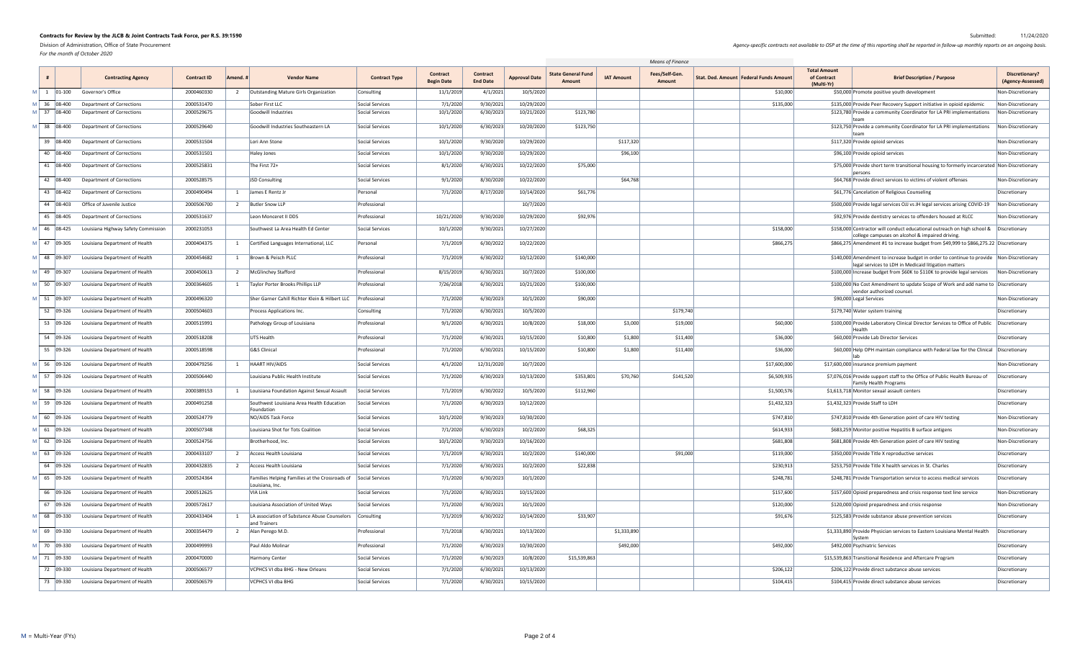*For the month of October 2020*

|                                                                  |                                                          |                    |          |                                                                                   |                      | Means of Finance                     |                                    |                      |                                     |                   |                          |                                          |                                                  |                                                                                                                                                    |                                     |
|------------------------------------------------------------------|----------------------------------------------------------|--------------------|----------|-----------------------------------------------------------------------------------|----------------------|--------------------------------------|------------------------------------|----------------------|-------------------------------------|-------------------|--------------------------|------------------------------------------|--------------------------------------------------|----------------------------------------------------------------------------------------------------------------------------------------------------|-------------------------------------|
|                                                                  | <b>Contracting Agency</b>                                | <b>Contract ID</b> | Amend. 1 | <b>Vendor Name</b>                                                                | <b>Contract Type</b> | <b>Contract</b><br><b>Begin Date</b> | <b>Contract</b><br><b>End Date</b> | <b>Approval Date</b> | <b>State General Fund</b><br>Amount | <b>IAT Amount</b> | Fees/Self-Gen.<br>Amount | Stat. Ded. Amount   Federal Funds Amount | <b>Total Amount</b><br>of Contract<br>(Multi-Yr) | <b>Brief Description / Purpose</b>                                                                                                                 | Discretionary?<br>(Agency-Assessed) |
| $1 \mid 01 - 100$                                                | Governor's Office                                        | 2000460330         |          | <b>Outstanding Mature Girls Organization</b>                                      | Consulting           | 11/1/2019                            | 4/1/2021                           | 10/5/2020            |                                     |                   |                          | \$10,000                                 |                                                  | \$50,000 Promote positive youth development                                                                                                        | Non-Discretionary                   |
| 36 08-400                                                        | <b>Department of Corrections</b>                         | 2000531470         |          | Sober First LLC                                                                   | Social Services      | 7/1/2020                             | 9/30/2021                          | 10/29/2020           |                                     |                   |                          | \$135,000                                |                                                  | \$135,000 Provide Peer Recovery Support initiative in opioid epidemic                                                                              | Non-Discretionary                   |
| 37 08-400                                                        | Department of Corrections                                | 2000529675         |          | Goodwill Industries                                                               | Social Services      | 10/1/2020                            | 6/30/2023                          | 10/21/2020           | \$123,780                           |                   |                          |                                          |                                                  | \$123,780 Provide a community Coordinator for LA PRI implementations                                                                               | Non-Discretionary                   |
| 38 08-400                                                        | <b>Department of Corrections</b>                         | 2000529640         |          | Goodwill Industries Southeastern LA                                               | Social Services      | 10/1/2020                            | 6/30/2023                          | 10/20/2020           | \$123,750                           |                   |                          |                                          |                                                  | \$123,750 Provide a community Coordinator for LA PRI implementations                                                                               | Non-Discretionary                   |
| 39 08-400                                                        | Department of Corrections                                | 2000531504         |          | Lori Ann Stone                                                                    | Social Services      | 10/1/2020                            | 9/30/2020                          | 10/29/2020           |                                     | \$117,320         |                          |                                          |                                                  | \$117,320 Provide opioid services                                                                                                                  | Non-Discretionary                   |
| 40 08-400                                                        | <b>Department of Corrections</b>                         | 2000531501         |          | Haley Jones                                                                       | Social Services      | 10/1/2020                            | 9/30/2020                          | 10/29/2020           |                                     | \$96,100          |                          |                                          |                                                  | \$96,100 Provide opioid services                                                                                                                   | Non-Discretionary                   |
| 41 08-400                                                        | <b>Department of Corrections</b>                         | 2000525831         |          | The First $72+$                                                                   | Social Services      | 8/1/2020                             | 6/30/2021                          | 10/22/2020           | \$75,000                            |                   |                          |                                          |                                                  | \$75,000 Provide short term transitional housing to formerly incarcerated Non-Discretionary                                                        |                                     |
| 42 08-400                                                        | <b>Department of Corrections</b>                         | 2000528575         |          | JSD Consulting                                                                    | Social Services      | 9/1/2020                             | 8/30/2020                          | 10/22/2020           |                                     | \$64,768          |                          |                                          |                                                  | \$64,768 Provide direct services to victims of violent offenses                                                                                    | Non-Discretionary                   |
| 43 08-402                                                        | <b>Department of Corrections</b>                         | 2000490494         |          | James E Rentz Jr                                                                  | Personal             | 7/1/2020                             | 8/17/2020                          | 10/14/2020           | \$61,776                            |                   |                          |                                          |                                                  | \$61,776 Cancelation of Religious Counseling                                                                                                       | Discretionary                       |
| 44 08-403                                                        | Office of Juvenile Justice                               | 2000506700         |          | <b>Butler Snow LLP</b>                                                            | Professional         |                                      |                                    | 10/7/2020            |                                     |                   |                          |                                          |                                                  | \$500,000 Provide legal services OJJ vs JH legal services arising COVID-19                                                                         | Non-Discretionary                   |
| 45 08-405                                                        | <b>Department of Corrections</b>                         | 2000531637         |          | Leon Monceret II DDS                                                              | Professional         | 10/21/2020                           | 9/30/2020                          | 10/29/2020           | \$92,976                            |                   |                          |                                          |                                                  | \$92,976 Provide dentistry services to offenders housed at RLCC                                                                                    | Non-Discretionary                   |
| 46 08-425                                                        | Louisiana Highway Safety Commission                      | 2000231053         |          | Southwest La Area Health Ed Center                                                | Social Services      | 10/1/2020                            | 9/30/2021                          | 10/27/2020           |                                     |                   |                          | \$158,000                                |                                                  | \$158,000 Contractor will conduct educational outreach on high school & $\vert$ Discretionary<br>college campuses on alcohol & impaired driving.   |                                     |
| $\vert$ 47 09-305                                                | Louisiana Department of Health                           | 2000404375         |          | Certified Languages International, LLC                                            | Personal             | 7/1/2019                             | 6/30/2022                          | 10/22/2020           |                                     |                   |                          | \$866,275                                |                                                  | \$866,275 Amendment #1 to increase budget from \$49,999 to \$866,275.22 Discretionary                                                              |                                     |
| $ $ 48 09-307                                                    | Louisiana Department of Health                           | 2000454682         |          | Brown & Peisch PLLC                                                               | Professional         | 7/1/2019                             | 6/30/2022                          | 10/12/2020           | \$140,000                           |                   |                          |                                          |                                                  | \$140,000 Amendment to increase budget in order to continue to provide   Non-Discretionary<br>legal services to LDH in Medicaid litigation matters |                                     |
| $\vert$ 49 09-307                                                | Louisiana Department of Health                           | 2000450613         |          | McGlinchey Stafford                                                               | Professional         | 8/15/2019                            | 6/30/2021                          | 10/7/2020            | \$100,000                           |                   |                          |                                          |                                                  | \$100,000 Increase budget from \$60K to \$110K to provide legal services                                                                           | Non-Discretionary                   |
| $50 \mid 09-307$                                                 | Louisiana Department of Health                           | 2000364605         |          | Taylor Porter Brooks Phillips LLP                                                 | Professional         | 7/26/2018                            | 6/30/2021                          | 10/21/2020           | \$100,000                           |                   |                          |                                          |                                                  | \$100,000 No Cost Amendment to update Scope of Work and add name to Discretionary<br>vendor authorized counsel.                                    |                                     |
| 51 09-307                                                        | Louisiana Department of Health                           | 2000496320         |          | Sher Garner Cahill Richter Klein & Hilbert LLC                                    | Professional         | 7/1/2020                             | 6/30/2023                          | 10/1/2020            | \$90,000                            |                   |                          |                                          |                                                  | \$90,000 Legal Services                                                                                                                            | Non-Discretionary                   |
| 52 09-326                                                        | Louisiana Department of Health                           | 2000504603         |          | <b>Process Applications Inc.</b>                                                  | Consulting           | 7/1/2020                             | 6/30/2021                          | 10/5/2020            |                                     |                   | \$179,740                |                                          |                                                  | \$179,740 Water system training                                                                                                                    | Discretionary                       |
| 53 09-326                                                        | Louisiana Department of Health                           | 2000515991         |          | Pathology Group of Louisiana                                                      | Professional         | 9/1/2020                             | 6/30/2021                          | 10/8/2020            | \$18,000                            | \$3,000           | \$19,000                 | \$60,000                                 |                                                  | \$100,000 Provide Laboratory Clinical Director Services to Office of Public   Discretionary                                                        |                                     |
| 54 09-326                                                        | Louisiana Department of Health                           | 2000518208         |          | <b>UTS Health</b>                                                                 | Professional         | 7/1/2020                             | 6/30/2021                          | 10/15/2020           | \$10,800                            | \$1,800           | \$11,400                 | \$36,000                                 |                                                  | Health<br>\$60,000 Provide Lab Director Services                                                                                                   | Discretionary                       |
| 55 09-326                                                        | Louisiana Department of Health                           | 2000518598         |          | G&S Clinical                                                                      | Professional         | 7/1/2020                             | 6/30/2021                          | 10/15/2020           | \$10,800                            | \$1,800           | \$11,400                 | \$36,000                                 |                                                  | \$60,000 Help OPH maintain compliance with Federal law for the Clinical Discretionary                                                              |                                     |
| 56 09-326                                                        | Louisiana Department of Health                           | 2000479256         |          | HAART HIV/AIDS                                                                    | Social Services      | 4/1/2020                             | 12/31/2020                         | 10/7/2020            |                                     |                   |                          | \$17,600,000                             |                                                  | \$17,600,000 insurance premium payment                                                                                                             | Non-Discretionary                   |
| 57 09-326                                                        | Louisiana Department of Health                           | 2000506440         |          | Louisiana Public Health Institute                                                 | Social Services      | 7/1/2020                             | 6/30/2023                          | 10/13/2020           | \$353,801                           | \$70,760          | \$141,520                | \$6,509,935                              |                                                  | \$7,076,016 Provide support staff to the Office of Public Health Bureau of<br><b>Family Health Programs</b>                                        | Discretionary                       |
| 58 09-326                                                        | Louisiana Department of Health                           | 2000389153         |          | Louisiana Foundation Against Sexual Assault                                       | Social Services      | 7/1/2019                             | 6/30/2022                          | 10/5/2020            | \$112,960                           |                   |                          | \$1,500,576                              |                                                  | \$1,613,718 Monitor sexual assault centers                                                                                                         | Discretionary                       |
|                                                                  | $\vert$ 59 $\vert$ 09-326 Louisiana Department of Health | 2000491258         |          | Southwest Louisiana Area Health Education<br>Foundation                           | Social Services      | 7/1/2020                             | 6/30/2023                          | 10/12/2020           |                                     |                   |                          | \$1,432,323                              |                                                  | \$1,432,323 Provide Staff to LDH                                                                                                                   | Discretionary                       |
| $\begin{array}{ c c c } \hline 60 & 09-326 \ \hline \end{array}$ | Louisiana Department of Health                           | 2000524779         |          | NO/AIDS Task Force                                                                | Social Services      | 10/1/2020                            | 9/30/2023                          | 10/30/2020           |                                     |                   |                          | \$747,810                                |                                                  | \$747,810 Provide 4th Generation point of care HIV testing                                                                                         | Non-Discretionary                   |
| $\begin{array}{ c c c } 61 & 09-326 \end{array}$                 | Louisiana Department of Health                           | 2000507348         |          | Louisiana Shot for Tots Coalition                                                 | Social Services      | 7/1/2020                             | 6/30/2023                          | 10/2/2020            | \$68,325                            |                   |                          | \$614,933                                |                                                  | \$683,259 Monitor positive Hepatitis B surface antigens                                                                                            | Non-Discretionary                   |
| $62$ 09-326                                                      | Louisiana Department of Health                           | 2000524756         |          | Brotherhood, Inc.                                                                 | Social Services      | 10/1/2020                            | 9/30/2023                          | 10/16/2020           |                                     |                   |                          | \$681,808                                |                                                  | \$681,808 Provide 4th Generation point of care HIV testing                                                                                         | Non-Discretionary                   |
| 63 09-326                                                        | Louisiana Department of Health                           | 2000433107         |          | Access Health Louisiana                                                           | Social Services      | 7/1/2019                             | 6/30/2021                          | 10/2/2020            | \$140,000                           |                   | \$91,000                 | \$119,000                                |                                                  | \$350,000 Provide Title X reproductive services                                                                                                    | Discretionary                       |
| 64 09-326                                                        | Louisiana Department of Health                           | 2000432835         |          | Access Health Louisiana                                                           | Social Services      | 7/1/2020                             | 6/30/2021                          | 10/2/2020            | \$22,838                            |                   |                          | \$230,913                                |                                                  | \$253,750 Provide Title X health services in St. Charles                                                                                           | Discretionary                       |
| 65 09-326                                                        | Louisiana Department of Health                           | 2000524364         |          | Families Helping Families at the Crossroads of Social Services<br>Louisiana. Inc. |                      | 7/1/2020                             | 6/30/2023                          | 10/1/2020            |                                     |                   |                          | \$248,781                                |                                                  | \$248,781 Provide Transportation service to access medical services                                                                                | Discretionary                       |
| 66 09-326                                                        | Louisiana Department of Health                           | 2000512625         |          | VIA Link                                                                          | Social Services      | 7/1/2020                             | 6/30/2021                          | 10/15/2020           |                                     |                   |                          | \$157,600                                |                                                  | \$157,600 Opioid preparedness and crisis response text line service                                                                                | Non-Discretionary                   |
| 67 09-326                                                        | Louisiana Department of Health                           | 2000572617         |          | Louisiana Association of United Ways                                              | Social Services      | 7/1/2020                             | 6/30/2021                          | 10/1/2020            |                                     |                   |                          | \$120,000                                |                                                  | \$120,000 Opioid preparedness and crisis response                                                                                                  | Non-Discretionary                   |
| 68 09-330                                                        | Louisiana Department of Health                           | 2000433404         |          | LA association of Substance Abuse Counselors   Consulting<br>and Trainers         |                      | 7/1/2019                             | 6/30/2022                          | 10/14/2020           | \$33,907                            |                   |                          | \$91,676                                 |                                                  | \$125,583 Provide substance abuse prevention services                                                                                              | Discretionary                       |
| M 69 09-330                                                      | Louisiana Department of Health                           | 2000354479         |          | Alan Perego M.D.                                                                  | Professional         | 7/1/2018                             | 6/30/2021                          | 10/13/2020           |                                     | \$1,333,890       |                          |                                          |                                                  | \$1,333,890 Provide Physician services to Eastern Louisiana Mental Health                                                                          | Discretionary                       |
| M 70 09-330                                                      | Louisiana Department of Health                           | 2000499993         |          | Paul Aldo Molinar                                                                 | Professional         | 7/1/2020                             | 6/30/2023                          | 10/30/2020           |                                     | \$492,000         |                          | \$492,000                                |                                                  | \$492,000 Psychiatric Services                                                                                                                     | Discretionary                       |
| 71   09-330                                                      | Louisiana Department of Health                           | 2000470000         |          | Harmony Center                                                                    | Social Services      | 7/1/2020                             | 6/30/2023                          | 10/8/2020            | \$15,539,863                        |                   |                          |                                          |                                                  | \$15,539,863 Transitional Residence and Aftercare Program                                                                                          | Discretionary                       |
| 72 09-330                                                        | Louisiana Department of Health                           | 2000506577         |          | VCPHCS VI dba BHG - New Orleans                                                   | Social Services      | 7/1/2020                             | 6/30/2021                          | 10/13/2020           |                                     |                   |                          | \$206,122                                |                                                  | \$206,122 Provide direct substance abuse services                                                                                                  | Discretionary                       |
| 73 09-330                                                        | Louisiana Department of Health                           | 2000506579         |          | VCPHCS VI dba BHG                                                                 | Social Services      | 7/1/2020                             | 6/30/2021                          | 10/15/2020           |                                     |                   |                          | \$104,415                                |                                                  | \$104,415 Provide direct substance abuse services                                                                                                  | Discretionary                       |

Agency-specific contracts not available to OSP at the time of this reported in follow-up monthly reports on an ongoing basis.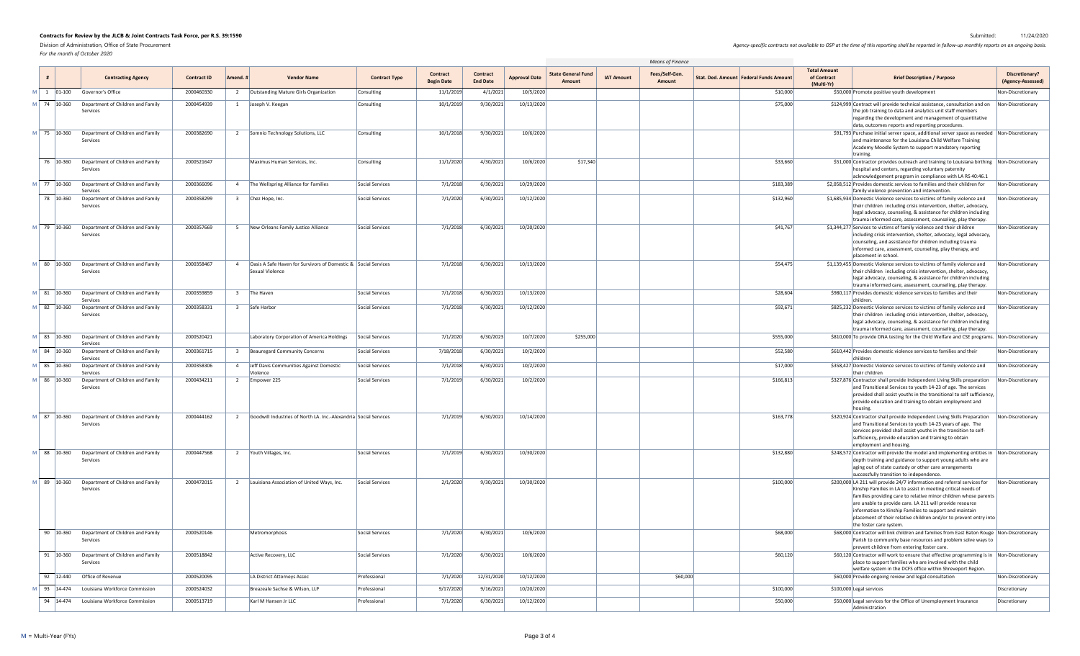*For the month of October 2020*

|  |                                              |                                                      |                    |                                                                                   |                      |                                      |                                    |                      |                                     |                   | Means of Finance         |                                          |                                                  |                                                                                                                                                                                                                                                                                                                                                                                                                                      |                                            |
|--|----------------------------------------------|------------------------------------------------------|--------------------|-----------------------------------------------------------------------------------|----------------------|--------------------------------------|------------------------------------|----------------------|-------------------------------------|-------------------|--------------------------|------------------------------------------|--------------------------------------------------|--------------------------------------------------------------------------------------------------------------------------------------------------------------------------------------------------------------------------------------------------------------------------------------------------------------------------------------------------------------------------------------------------------------------------------------|--------------------------------------------|
|  |                                              | <b>Contracting Agency</b>                            | <b>Contract ID</b> | <b>Vendor Name</b><br>Amend.                                                      | <b>Contract Type</b> | <b>Contract</b><br><b>Begin Date</b> | <b>Contract</b><br><b>End Date</b> | <b>Approval Date</b> | <b>State General Fund</b><br>Amount | <b>IAT Amount</b> | Fees/Self-Gen.<br>Amount | Stat. Ded. Amount   Federal Funds Amount | <b>Total Amount</b><br>of Contract<br>(Multi-Yr) | <b>Brief Description / Purpose</b>                                                                                                                                                                                                                                                                                                                                                                                                   | <b>Discretionary?</b><br>(Agency-Assessed) |
|  | $M \begin{vmatrix} 1 & 01-100 \end{vmatrix}$ | Governor's Office                                    | 2000460330         | Outstanding Mature Girls Organization                                             | Consulting           | 11/1/2019                            | 4/1/2021                           | 10/5/2020            |                                     |                   |                          | \$10,000                                 |                                                  | \$50,000 Promote positive youth development                                                                                                                                                                                                                                                                                                                                                                                          | Non-Discretionary                          |
|  | M 74 10-360                                  | Department of Children and Family<br>Services        | 2000454939         | Joseph V. Keegan                                                                  | Consulting           | 10/1/2019                            | 9/30/2021                          | 10/13/2020           |                                     |                   |                          | \$75,000                                 |                                                  | \$124,999 Contract will provide technical assistance, consultation and on   Non-Discretionary<br>the job training to data and analytics unit staff members<br>regarding the development and management of quantitative<br>data, outcomes reports and reporting procedures.                                                                                                                                                           |                                            |
|  | M 75 10-360                                  | Department of Children and Family<br>Services        | 2000382690         | 2 Somnio Technology Solutions, LLC                                                | Consulting           | 10/1/2018                            | 9/30/2021                          | 10/6/2020            |                                     |                   |                          |                                          |                                                  | \$91,793 Purchase initial server space, additional server space as needed Non-Discretionary<br>and maintenance for the Louisiana Child Welfare Training<br>Academy Moodle System to support mandatory reporting<br>training                                                                                                                                                                                                          |                                            |
|  | 76 10-360                                    | Department of Children and Family<br>Services        | 2000521647         | Maximus Human Services, Inc.                                                      | Consulting           | 11/1/2020                            | 4/30/2021                          | 10/6/2020            | \$17,340                            |                   |                          | \$33,660                                 |                                                  | $\frac{1}{2}$ \$51,000 Contractor provides outreach and training to Louisiana birthing  Non-Discretionary<br>hospital and centers, regarding voluntary paternity<br>acknowledgement program in compliance with LA RS 40:46.1                                                                                                                                                                                                         |                                            |
|  | M 77 10-360                                  | Department of Children and Family<br>Services        | 2000366096         | 4 The Wellspring Alliance for Families                                            | Social Services      | 7/1/2018                             | 6/30/2021                          | 10/29/2020           |                                     |                   |                          | \$183,389                                |                                                  | \$2,058,512 Provides domestic services to families and their children for<br>family violence prevention and intervention.                                                                                                                                                                                                                                                                                                            | Non-Discretionary                          |
|  | 78 10-360                                    | Department of Children and Family<br>Services        | 2000358299         | Chez Hope, Inc.<br>$\overline{3}$                                                 | Social Services      | 7/1/2020                             | 6/30/2021                          | 10/12/2020           |                                     |                   |                          | \$132,960                                |                                                  | \$1,685,934 Domestic Violence services to victims of family violence and<br>their children including crisis intervention, shelter, advocacy,<br>legal advocacy, counseling, & assistance for children including<br>trauma informed care, assessment, counseling, play therapy.                                                                                                                                                       | Non-Discretionary                          |
|  | M 79 10-360                                  | Department of Children and Family<br>Services        | 2000357669         | New Orleans Family Justice Alliance<br>-5.                                        | Social Services      | 7/1/2018                             | 6/30/2021                          | 10/20/2020           |                                     |                   |                          | \$41,767                                 |                                                  | \$1,344,277 Services to victims of family violence and their children<br>including crisis intervention, shelter, advocacy, legal advocacy,<br>counseling, and assistance for children including trauma<br>informed care, assessment, counseling, play therapy, and<br>placement in school.                                                                                                                                           | Non-Discretionary                          |
|  | M 80 10-360                                  | Department of Children and Family<br>Services        | 2000358467         | Oasis A Safe Haven for Survivors of Domestic & Social Services<br>Sexual Violence |                      | 7/1/2018                             | 6/30/2021                          | 10/13/2020           |                                     |                   |                          | \$54,475                                 |                                                  | \$1,139,455 Domestic Violence services to victims of family violence and<br>their children including crisis intervention, shelter, advocacy,<br>legal advocacy, counseling, & assistance for children including<br>trauma informed care, assessment, counseling, play therapy.                                                                                                                                                       | Non-Discretionary                          |
|  | M 81 10-360                                  | Department of Children and Family<br><b>Services</b> | 2000359859         | The Haven                                                                         | Social Services      | 7/1/2018                             | 6/30/2021                          | 10/13/2020           |                                     |                   |                          | \$28,604                                 |                                                  | \$980,117 Provides domestic violence services to families and their<br>children                                                                                                                                                                                                                                                                                                                                                      | Non-Discretionary                          |
|  | M 82 10-360                                  | Department of Children and Family<br>Services        | 2000358331         | Safe Harbor                                                                       | Social Services      | 7/1/2018                             | 6/30/2021                          | 10/12/2020           |                                     |                   |                          | \$92,671                                 |                                                  | \$825,232 Domestic Violence services to victims of family violence and<br>their children including crisis intervention, shelter, advocacy,<br>legal advocacy, counseling, & assistance for children including<br>trauma informed care, assessment, counseling, play therapy.                                                                                                                                                         | Non-Discretionary                          |
|  | M 83 10-360                                  | Department of Children and Family<br>Services        | 2000520421         | Laboratory Corporation of America Holdings                                        | Social Services      | 7/1/2020                             | 6/30/2023                          | 10/7/2020            | \$255,000                           |                   |                          | \$555,000                                |                                                  | \$810,000 To provide DNA testing for the Child Welfare and CSE programs. Non-Discretionary                                                                                                                                                                                                                                                                                                                                           |                                            |
|  | M 84 10-360                                  | Department of Children and Family<br>Services        | 2000361715         | Beauregard Community Concerns                                                     | Social Services      | 7/18/2018                            | 6/30/2021                          | 10/2/2020            |                                     |                   |                          | \$52,580                                 |                                                  | \$610,442 Provides domestic violence services to families and their                                                                                                                                                                                                                                                                                                                                                                  | Non-Discretionary                          |
|  | M 85 10-360                                  | Department of Children and Family<br>Services        | 2000358306         | Jeff Davis Communities Against Domestic<br>Violence                               | Social Services      | 7/1/2018                             | 6/30/2021                          | 10/2/2020            |                                     |                   |                          | \$17,000                                 |                                                  | \$358,427 Domestic Violence services to victims of family violence and<br>their children                                                                                                                                                                                                                                                                                                                                             | Non-Discretionary                          |
|  | M 86 10-360                                  | Department of Children and Family<br>Services        | 2000434211         | Empower 225                                                                       | Social Services      | 7/1/2019                             | 6/30/2021                          | 10/2/2020            |                                     |                   |                          | \$166,813                                |                                                  | \$327,876 Contractor shall provide Independent Living Skills preparation<br>and Transitional Services to youth 14-23 of age. The services<br>provided shall assist youths in the transitional to self sufficiency,<br>provide education and training to obtain employment and                                                                                                                                                        | Non-Discretionary                          |
|  | M 87 10-360                                  | Department of Children and Family<br>Services        | 2000444162         | Goodwill Industries of North LA. Inc.-Alexandria Social Services<br>2             |                      | 7/1/2019                             | 6/30/2021                          | 10/14/2020           |                                     |                   |                          | \$163,778                                |                                                  | \$320,924 Contractor shall provide Independent Living Skills Preparation<br>and Transitional Services to youth 14-23 years of age. The<br>services provided shall assist youths in the transition to self-<br>sufficiency, provide education and training to obtain<br>employment and housing.                                                                                                                                       | Non-Discretionary                          |
|  | M 88 10-360                                  | Department of Children and Family<br>Services        | 2000447568         | 2   Youth Villages, Inc.                                                          | Social Services      | 7/1/2019                             | 6/30/2021                          | 10/30/2020           |                                     |                   |                          | \$132,880                                |                                                  | \$248,572 Contractor will provide the model and implementing entities in Non-Discretionary<br>depth training and guidance to support young adults who are<br>aging out of state custody or other care arrangements<br>successfully transition to independence.                                                                                                                                                                       |                                            |
|  | M 89 10-360                                  | Department of Children and Family<br>Services        | 2000472015         | 2   Louisiana Association of United Ways, Inc.                                    | Social Services      | 2/1/2020                             | 9/30/2021                          | 10/30/2020           |                                     |                   |                          | \$100,000                                |                                                  | \$200,000 LA 211 will provide 24/7 information and referral services for<br>Kinship Families in LA to assist in meeting critical needs of<br>families providing care to relative minor children whose parents<br>are unable to provide care. LA 211 will provide resource<br>information to Kinship Families to support and maintain<br>placement of their relative children and/or to prevent entry into<br>the foster care system. | Non-Discretionary                          |
|  | 90 10-360                                    | Department of Children and Family<br>Services        | 2000520146         | Metromorphosis                                                                    | Social Services      | 7/1/2020                             | 6/30/2021                          | 10/6/2020            |                                     |                   |                          | \$68,000                                 |                                                  | \$68,000 Contractor will link children and families from East Baton Rouge   Non-Discretionary<br>Parish to community base resources and problem solve ways to<br>prevent children from entering foster care.                                                                                                                                                                                                                         |                                            |
|  | $91 \mid 10 - 360$                           | Department of Children and Family<br>Services        | 2000518842         | Active Recovery, LLC                                                              | Social Services      | 7/1/2020                             | 6/30/2021                          | 10/6/2020            |                                     |                   |                          | \$60,120                                 |                                                  | \$60,120 Contractor will work to ensure that effective programming is in Non-Discretionary<br>place to support families who are involved with the child<br>welfare system in the DCFS office within Shreveport Region.                                                                                                                                                                                                               |                                            |
|  | 92 12-440                                    | Office of Revenue                                    | 2000520095         | LA District Attorneys Assoc                                                       | Professional         | 7/1/2020                             | 12/31/2020                         | 10/12/2020           |                                     |                   | \$60,000                 |                                          |                                                  | \$60,000 Provide ongoing review and legal consultation                                                                                                                                                                                                                                                                                                                                                                               | Non-Discretionary                          |
|  | M 93 14-474                                  | Louisiana Workforce Commission                       | 2000524032         | Breazeale Sachse & Wilson, LLP                                                    | Professional         | 9/17/2020                            | 9/16/2021                          | 10/20/2020           |                                     |                   |                          | \$100,000                                |                                                  | \$100,000 Legal services                                                                                                                                                                                                                                                                                                                                                                                                             | Discretionary                              |
|  |                                              | 94   14-474 Louisiana Workforce Commission           | 2000513719         | Karl M Hansen Jr LLC                                                              | Professional         | 7/1/2020                             | 6/30/2021                          | 10/12/2020           |                                     |                   |                          | \$50,000                                 |                                                  | \$50,000 Legal services for the Office of Unemployment Insurance<br>Administration                                                                                                                                                                                                                                                                                                                                                   | Discretionary                              |

Agency-specific contracts not available to OSP at the time of this reported in follow-up monthly reports on an ongoing basis.